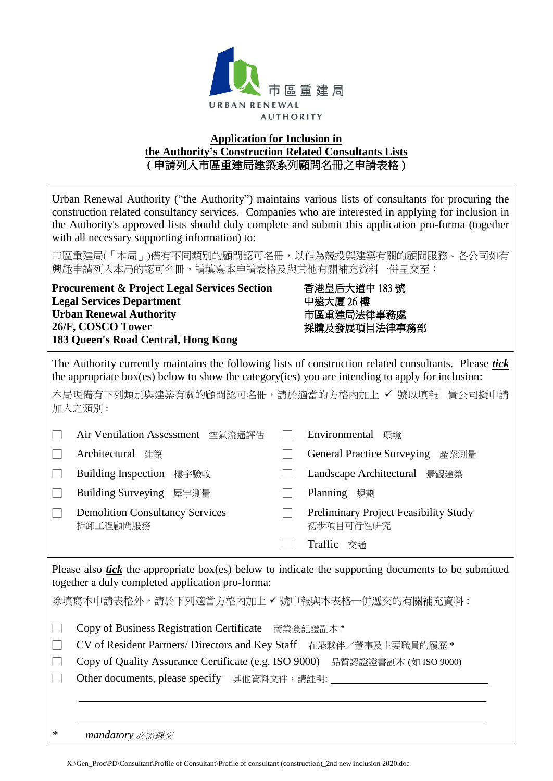

## **Application for Inclusion in the Authority's Construction Related Consultants Lists** ( 申請列入市區重建局建築系列顧問名冊之申請表格 )

Urban Renewal Authority ("the Authority") maintains various lists of consultants for procuring the construction related consultancy services. Companies who are interested in applying for inclusion in the Authority's approved lists should duly complete and submit this application pro-forma (together with all necessary supporting information) to:

市區重建局(「本局」)備有不同類別的顧問認可名冊,以作為競投與建築有關的顧問服務。各公司如有 興趣申請列入本局的認可名冊,請填寫本申請表格及與其他有關補充資料一併呈交至:

**Procurement & Project Legal Services Section Legal Services Department Urban Renewal Authority 26/F, COSCO Tower 183 Queen's Road Central, Hong Kong**

香港皇后大道中 183 號 中遠大廈 26 樓 市區重建局法律事務處 採購及發展項目法律事務部

The Authority currently maintains the following lists of construction related consultants. Please *tick* the appropriate box(es) below to show the category(ies) you are intending to apply for inclusion:

本局現備有下列類別與建築有關的顧問認可名冊,請於適當的方格內加上 V 號以填報 貴公司擬申請 加入之類別 :

| Air Ventilation Assessment<br>空氣流通評估               |  | Environmental<br>環境                                |  |
|----------------------------------------------------|--|----------------------------------------------------|--|
| Architectural<br>建築                                |  | <b>General Practice Surveying</b><br>產業測量          |  |
| <b>Building Inspection</b><br>樓宇驗收                 |  | Landscape Architectural<br>景觀建築                    |  |
| Building Surveying 屋宇測量                            |  | Planning<br>規劃                                     |  |
| <b>Demolition Consultancy Services</b><br>拆卸工程顧問服務 |  | Preliminary Project Feasibility Study<br>初步項目可行性研究 |  |
|                                                    |  | Traffic<br>交通                                      |  |

Please also *tick* the appropriate box(es) below to indicate the supporting documents to be submitted together a duly completed application pro-forma:

除填寫本申請表格外,請於下列適當方格內加上√號申報與本表格一併遞交的有關補充資料:

□ Copy of Business Registration Certificate 商業登記證副本 \*

- □ CV of Resident Partners/ Directors and Key Staff 在港夥伴/董事及主要職員的履歷 \*
- □ Copy of Quality Assurance Certificate (e.g. ISO 9000) 品質認證證書副本 (如 ISO 9000)

□ Other documents, please specify 其他資料文件,請註明:

*\* mandatory* 必需遞交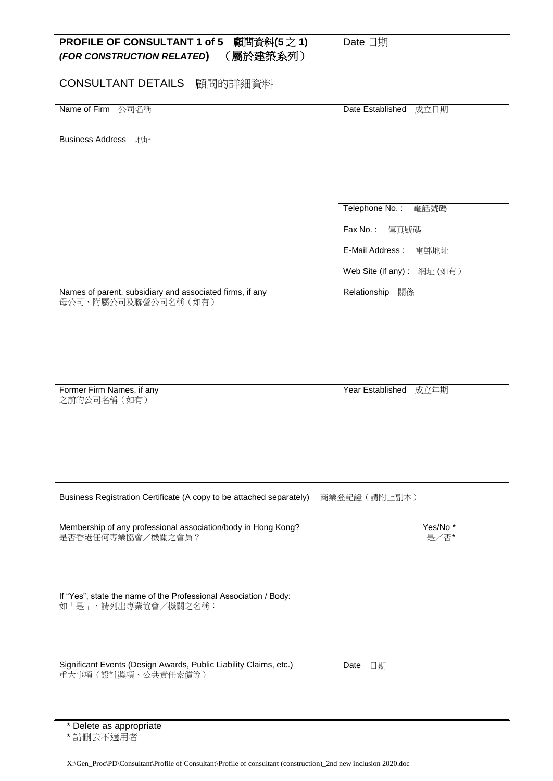| <b>PROFILE OF CONSULTANT 1 of 5</b><br>顧問資料(5之1)<br>(屬於建築系列)<br>(FOR CONSTRUCTION RELATED) | Date 日期                    |
|--------------------------------------------------------------------------------------------|----------------------------|
| CONSULTANT DETAILS 顧問的詳細資料                                                                 |                            |
| Name of Firm 公司名稱                                                                          | Date Established 成立日期      |
| Business Address 地址                                                                        |                            |
|                                                                                            |                            |
|                                                                                            |                            |
|                                                                                            | Telephone No.:<br>電話號碼     |
|                                                                                            | Fax No.:<br>傳真號碼           |
|                                                                                            | E-Mail Address:<br>電郵地址    |
|                                                                                            | Web Site (if any): 網址 (如有) |
| Names of parent, subsidiary and associated firms, if any<br>母公司、附屬公司及聯營公司名稱(如有)            | Relationship 關係            |
|                                                                                            |                            |
|                                                                                            |                            |
|                                                                                            |                            |
|                                                                                            |                            |
| Former Firm Names, if any<br>之前的公司名稱(如有)                                                   | Year Established 成立年期      |
|                                                                                            |                            |
|                                                                                            |                            |
|                                                                                            |                            |
|                                                                                            |                            |
| Business Registration Certificate (A copy to be attached separately)                       | 商業登記證 (請附上副本)              |
|                                                                                            |                            |
| Membership of any professional association/body in Hong Kong?<br>是否香港任何專業協會/機關之會員?         | Yes/No*<br>是/否*            |
|                                                                                            |                            |
|                                                                                            |                            |
| If "Yes", state the name of the Professional Association / Body:                           |                            |
| 如「是」,請列出專業協會/機關之名稱:                                                                        |                            |
|                                                                                            |                            |
| Significant Events (Design Awards, Public Liability Claims, etc.)                          | Date<br>日期                 |
| 重大事項 (設計獎項、公共責任索償等)                                                                        |                            |
|                                                                                            |                            |
|                                                                                            |                            |

\* Delete as appropriate

\* 請刪去不適用者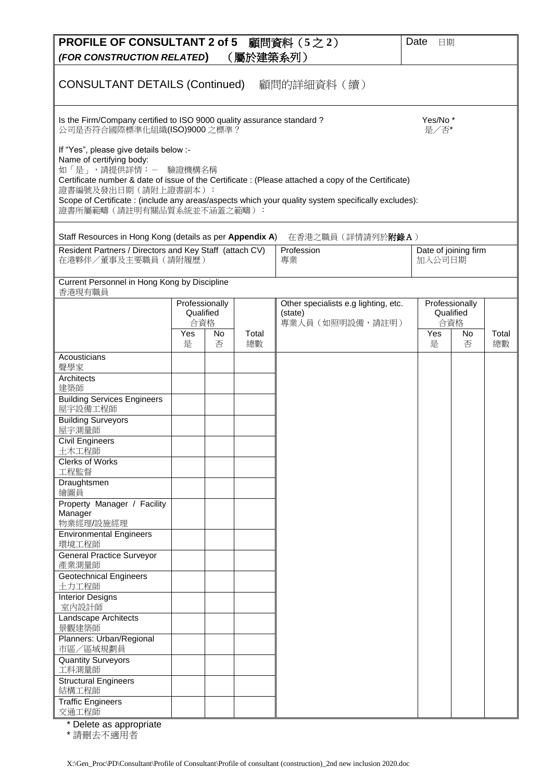| PROFILE OF CONSULTANT 2 of 5 顧問資料 (5之2)<br>(FOR CONSTRUCTION RELATED)                                                                                                                                                                                                                                                                                          |                                           |     | (屬於建築系列) |                                                                     | Date<br>日期        |                                          |       |
|----------------------------------------------------------------------------------------------------------------------------------------------------------------------------------------------------------------------------------------------------------------------------------------------------------------------------------------------------------------|-------------------------------------------|-----|----------|---------------------------------------------------------------------|-------------------|------------------------------------------|-------|
| <b>CONSULTANT DETAILS (Continued)</b><br> 顧問的詳細資料(續)                                                                                                                                                                                                                                                                                                           |                                           |     |          |                                                                     |                   |                                          |       |
| Is the Firm/Company certified to ISO 9000 quality assurance standard?<br>Yes/No*<br>公司是否符合國際標準化組織(ISO)9000 之標準?<br>是/否*                                                                                                                                                                                                                                        |                                           |     |          |                                                                     |                   |                                          |       |
| If "Yes", please give details below :-<br>Name of certifying body:<br>如「是」,請提供詳情:-<br>驗證機構名稱<br>Certificate number & date of issue of the Certificate : (Please attached a copy of the Certificate)<br>證書編號及發出日期(請附上證書副本):<br>Scope of Certificate : (include any areas/aspects which your quality system specifically excludes):<br>證書所屬範疇(請註明有關品質系統並不涵蓋之範疇): |                                           |     |          |                                                                     |                   |                                          |       |
| Staff Resources in Hong Kong (details as per Appendix A)                                                                                                                                                                                                                                                                                                       |                                           |     |          | 在香港之職員 (詳情請列於 <b>附錄A</b> )                                          |                   |                                          |       |
| Resident Partners / Directors and Key Staff (attach CV)<br>Profession<br>Date of joining firm<br>在港夥伴/董事及主要職員(請附履歷)<br>專業<br>加入公司日期                                                                                                                                                                                                                            |                                           |     |          |                                                                     |                   |                                          |       |
| Current Personnel in Hong Kong by Discipline<br>香港現有職員                                                                                                                                                                                                                                                                                                         |                                           |     |          |                                                                     |                   |                                          |       |
|                                                                                                                                                                                                                                                                                                                                                                | Professionally<br>Qualified<br>合資格<br>Yes | No. | Total    | Other specialists e.g lighting, etc.<br>(state)<br>專業人員 (如照明設備,請註明) | $\overline{Y}$ es | Professionally<br>Qualified<br>合資格<br>No | Total |
|                                                                                                                                                                                                                                                                                                                                                                | 是                                         | 否   | 總數       |                                                                     | 是                 | 否                                        | 總數    |
| Acousticians<br>聲學家                                                                                                                                                                                                                                                                                                                                            |                                           |     |          |                                                                     |                   |                                          |       |
| Architects<br>建築師                                                                                                                                                                                                                                                                                                                                              |                                           |     |          |                                                                     |                   |                                          |       |
| <b>Building Services Engineers</b><br>屋宇設備工程師                                                                                                                                                                                                                                                                                                                  |                                           |     |          |                                                                     |                   |                                          |       |
| <b>Building Surveyors</b><br>屋宇測量師                                                                                                                                                                                                                                                                                                                             |                                           |     |          |                                                                     |                   |                                          |       |
| <b>Civil Engineers</b><br>土木工程師                                                                                                                                                                                                                                                                                                                                |                                           |     |          |                                                                     |                   |                                          |       |
| <b>Clerks of Works</b><br>工程監督                                                                                                                                                                                                                                                                                                                                 |                                           |     |          |                                                                     |                   |                                          |       |
| Draughtsmen<br>繪圖員                                                                                                                                                                                                                                                                                                                                             |                                           |     |          |                                                                     |                   |                                          |       |
| Property Manager / Facility<br>Manager<br>物業經理/設施經理                                                                                                                                                                                                                                                                                                            |                                           |     |          |                                                                     |                   |                                          |       |
| <b>Environmental Engineers</b><br>環境工程師                                                                                                                                                                                                                                                                                                                        |                                           |     |          |                                                                     |                   |                                          |       |
| <b>General Practice Surveyor</b><br>產業測量師                                                                                                                                                                                                                                                                                                                      |                                           |     |          |                                                                     |                   |                                          |       |
| Geotechnical Engineers<br>土力工程師                                                                                                                                                                                                                                                                                                                                |                                           |     |          |                                                                     |                   |                                          |       |
| <b>Interior Designs</b><br>室内設計師                                                                                                                                                                                                                                                                                                                               |                                           |     |          |                                                                     |                   |                                          |       |
| Landscape Architects<br>景觀建築師                                                                                                                                                                                                                                                                                                                                  |                                           |     |          |                                                                     |                   |                                          |       |
| Planners: Urban/Regional<br>市區/區域規劃員                                                                                                                                                                                                                                                                                                                           |                                           |     |          |                                                                     |                   |                                          |       |
| <b>Quantity Surveyors</b><br>工料測量師                                                                                                                                                                                                                                                                                                                             |                                           |     |          |                                                                     |                   |                                          |       |
| <b>Structural Engineers</b><br>結構工程師                                                                                                                                                                                                                                                                                                                           |                                           |     |          |                                                                     |                   |                                          |       |
| <b>Traffic Engineers</b><br>交通工程師                                                                                                                                                                                                                                                                                                                              |                                           |     |          |                                                                     |                   |                                          |       |

\* Delete as appropriate

\* 請刪去不適用者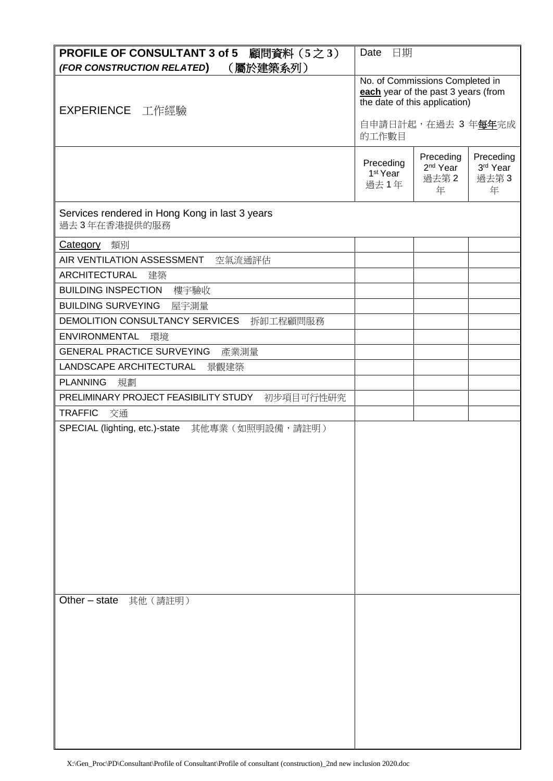| <b>PROFILE OF CONSULTANT 3 of 5</b><br>顧問資料 (5之3)              | Date<br>日期                                                                                              |                                                |                                    |  |
|----------------------------------------------------------------|---------------------------------------------------------------------------------------------------------|------------------------------------------------|------------------------------------|--|
| (屬於建築系列)<br>(FOR CONSTRUCTION RELATED)                         |                                                                                                         |                                                |                                    |  |
| EXPERIENCE 工作經驗                                                | No. of Commissions Completed in<br>each year of the past 3 years (from<br>the date of this application) |                                                |                                    |  |
|                                                                | 自申請日計起, 在過去 3 年每年完成<br>的工作數目                                                                            |                                                |                                    |  |
|                                                                | Preceding<br>1 <sup>st</sup> Year<br>過去1年                                                               | Preceding<br>2 <sup>nd</sup> Year<br>過去第2<br>年 | Preceding<br>3rd Year<br>過去第3<br>年 |  |
| Services rendered in Hong Kong in last 3 years<br>過去3年在香港提供的服務 |                                                                                                         |                                                |                                    |  |
| 類別<br><b>Category</b>                                          |                                                                                                         |                                                |                                    |  |
| AIR VENTILATION ASSESSMENT<br>空氣流通評估                           |                                                                                                         |                                                |                                    |  |
| ARCHITECTURAL<br>建築                                            |                                                                                                         |                                                |                                    |  |
| <b>BUILDING INSPECTION</b><br>樓宇驗收                             |                                                                                                         |                                                |                                    |  |
| <b>BUILDING SURVEYING</b><br>屋宇測量                              |                                                                                                         |                                                |                                    |  |
| DEMOLITION CONSULTANCY SERVICES<br>拆卸工程顧問服務                    |                                                                                                         |                                                |                                    |  |
| <b>ENVIRONMENTAL</b><br>環境                                     |                                                                                                         |                                                |                                    |  |
| <b>GENERAL PRACTICE SURVEYING</b><br>產業測量                      |                                                                                                         |                                                |                                    |  |
| LANDSCAPE ARCHITECTURAL<br>景觀建築                                |                                                                                                         |                                                |                                    |  |
| <b>PLANNING</b><br>規劃                                          |                                                                                                         |                                                |                                    |  |
| PRELIMINARY PROJECT FEASIBILITY STUDY<br>初步項目可行性研究             |                                                                                                         |                                                |                                    |  |
| <b>TRAFFIC</b><br>交通                                           |                                                                                                         |                                                |                                    |  |
| SPECIAL (lighting, etc.)-state<br>其他專業 (如照明設備,請註明)             |                                                                                                         |                                                |                                    |  |
|                                                                |                                                                                                         |                                                |                                    |  |
|                                                                |                                                                                                         |                                                |                                    |  |
|                                                                |                                                                                                         |                                                |                                    |  |
|                                                                |                                                                                                         |                                                |                                    |  |
|                                                                |                                                                                                         |                                                |                                    |  |
|                                                                |                                                                                                         |                                                |                                    |  |
|                                                                |                                                                                                         |                                                |                                    |  |
|                                                                |                                                                                                         |                                                |                                    |  |
|                                                                |                                                                                                         |                                                |                                    |  |
| Other $-$ state<br>其他 (請註明)                                    |                                                                                                         |                                                |                                    |  |
|                                                                |                                                                                                         |                                                |                                    |  |
|                                                                |                                                                                                         |                                                |                                    |  |
|                                                                |                                                                                                         |                                                |                                    |  |
|                                                                |                                                                                                         |                                                |                                    |  |
|                                                                |                                                                                                         |                                                |                                    |  |
|                                                                |                                                                                                         |                                                |                                    |  |
|                                                                |                                                                                                         |                                                |                                    |  |
|                                                                |                                                                                                         |                                                |                                    |  |
|                                                                |                                                                                                         |                                                |                                    |  |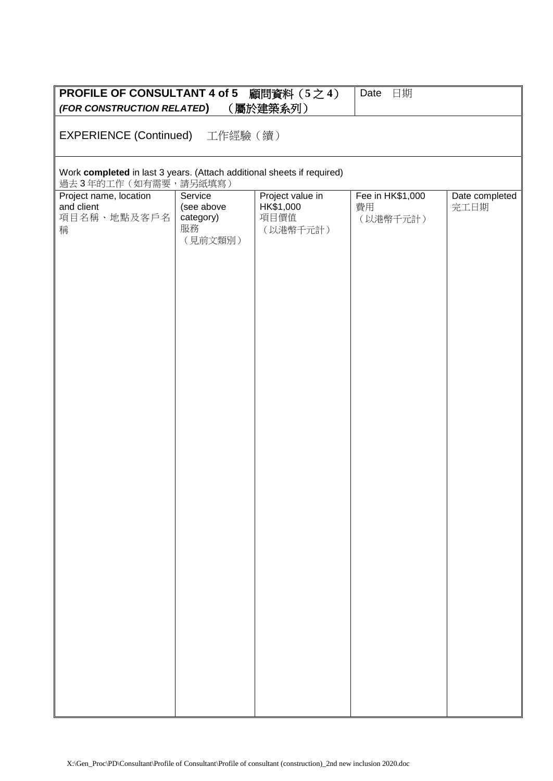| <b>PROFILE OF CONSULTANT 4 of 5</b> 顧問資料 (5之4)<br>(FOR CONSTRUCTION RELATED)                  |                                                     | (屬於建築系列)                                          | Date<br>日期                         |                        |  |  |  |
|-----------------------------------------------------------------------------------------------|-----------------------------------------------------|---------------------------------------------------|------------------------------------|------------------------|--|--|--|
| EXPERIENCE (Continued) 工作經驗(續)                                                                |                                                     |                                                   |                                    |                        |  |  |  |
| Work completed in last 3 years. (Attach additional sheets if required)<br>過去3年的工作(如有需要,請另紙填寫) |                                                     |                                                   |                                    |                        |  |  |  |
| Project name, location<br>and client<br>項目名稱、地點及客戶名<br>稱                                      | Service<br>(see above<br>category)<br>服務<br>(見前文類別) | Project value in<br>HK\$1,000<br>項目價值<br>(以港幣千元計) | Fee in HK\$1,000<br>費用<br>(以港幣千元計) | Date completed<br>完工日期 |  |  |  |
|                                                                                               |                                                     |                                                   |                                    |                        |  |  |  |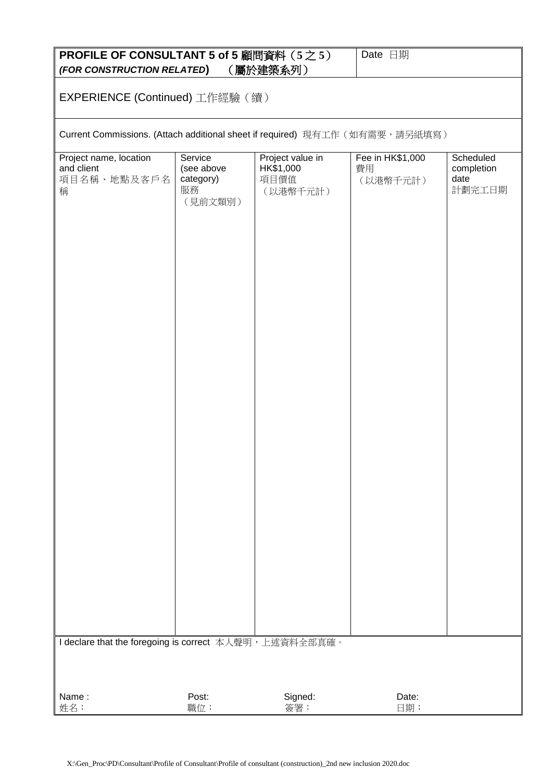| <b>PROFILE OF CONSULTANT 5 of 5 顧問資料 (5之5)</b><br>(屬於建築系列)<br>(FOR CONSTRUCTION RELATED) |                                                     |                                                   | Date 日期                            |                                           |  |  |
|------------------------------------------------------------------------------------------|-----------------------------------------------------|---------------------------------------------------|------------------------------------|-------------------------------------------|--|--|
| EXPERIENCE (Continued) 工作經驗 (續)                                                          |                                                     |                                                   |                                    |                                           |  |  |
| Current Commissions. (Attach additional sheet if required) 現有工作 (如有需要,請另紙填寫)             |                                                     |                                                   |                                    |                                           |  |  |
| Project name, location<br>and client<br>項目名稱、地點及客戶名<br>稱                                 | Service<br>(see above<br>category)<br>服務<br>(見前文類別) | Project value in<br>HK\$1,000<br>項目價值<br>(以港幣千元計) | Fee in HK\$1,000<br>費用<br>(以港幣千元計) | Scheduled<br>completion<br>date<br>計劃完工日期 |  |  |
| I declare that the foregoing is correct 本人聲明,上述資料全部真確。                                   |                                                     |                                                   |                                    |                                           |  |  |
| Name:<br>姓名:                                                                             | Post:<br>職位:                                        | Signed:<br>簽署:                                    | Date:<br>日期:                       |                                           |  |  |